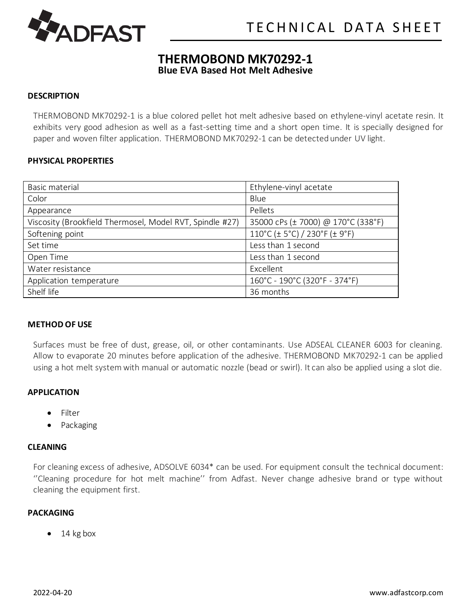

## **THERMOBOND MK70292-1 Blue EVA Based Hot Melt Adhesive**

#### **DESCRIPTION**

THERMOBOND MK70292-1 is a blue colored pellet hot melt adhesive based on ethylene-vinyl acetate resin. It exhibits very good adhesion as well as a fast-setting time and a short open time. It is specially designed for paper and woven filter application. THERMOBOND MK70292-1 can be detected under UV light.

#### **PHYSICAL PROPERTIES**

| Basic material                                           | Ethylene-vinyl acetate                  |
|----------------------------------------------------------|-----------------------------------------|
| Color                                                    | Blue                                    |
| Appearance                                               | Pellets                                 |
| Viscosity (Brookfield Thermosel, Model RVT, Spindle #27) | 35000 cPs (± 7000) @ 170°C (338°F)      |
| Softening point                                          | $110^{\circ}$ C (± 5°C) / 230°F (± 9°F) |
| Set time                                                 | Less than 1 second                      |
| Open Time                                                | Less than 1 second                      |
| Water resistance                                         | Excellent                               |
| Application temperature                                  | 160°C - 190°C (320°F - 374°F)           |
| Shelf life                                               | 36 months                               |

#### **METHOD OF USE**

Surfaces must be free of dust, grease, oil, or other contaminants. Use ADSEAL CLEANER 6003 for cleaning. Allow to evaporate 20 minutes before application of the adhesive. THERMOBOND MK70292-1 can be applied using a hot melt system with manual or automatic nozzle (bead or swirl). It can also be applied using a slot die.

### **APPLICATION**

- Filter
- **Packaging**

#### **CLEANING**

For cleaning excess of adhesive, ADSOLVE 6034\* can be used. For equipment consult the technical document: ''Cleaning procedure for hot melt machine'' from Adfast. Never change adhesive brand or type without cleaning the equipment first.

#### **PACKAGING**

14 kg box